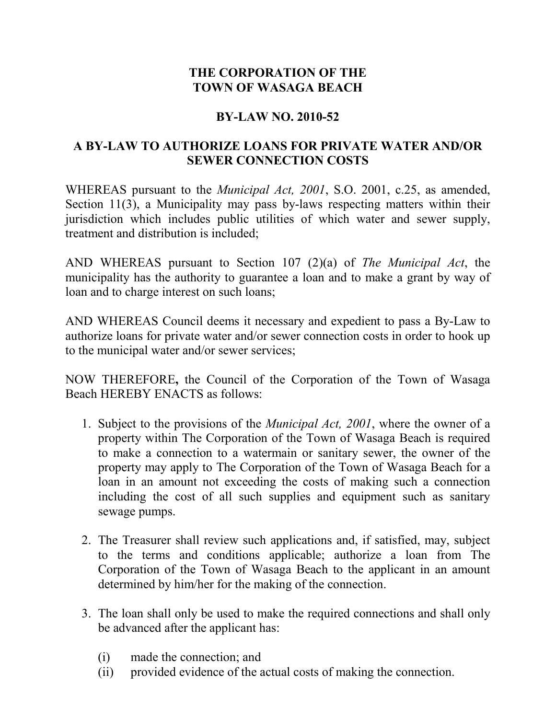## **THE CORPORATION OF THE TOWN OF WASAGA BEACH**

## **BY-LAW NO. 2010-52**

## **A BY-LAW TO AUTHORIZE LOANS FOR PRIVATE WATER AND/OR SEWER CONNECTION COSTS**

WHEREAS pursuant to the *Municipal Act, 2001*, S.O. 2001, c.25, as amended, Section 11(3), a Municipality may pass by-laws respecting matters within their jurisdiction which includes public utilities of which water and sewer supply, treatment and distribution is included;

AND WHEREAS pursuant to Section 107 (2)(a) of *The Municipal Act*, the municipality has the authority to guarantee a loan and to make a grant by way of loan and to charge interest on such loans;

AND WHEREAS Council deems it necessary and expedient to pass a By-Law to authorize loans for private water and/or sewer connection costs in order to hook up to the municipal water and/or sewer services;

NOW THEREFORE**,** the Council of the Corporation of the Town of Wasaga Beach HEREBY ENACTS as follows:

- 1. Subject to the provisions of the *Municipal Act, 2001*, where the owner of a property within The Corporation of the Town of Wasaga Beach is required to make a connection to a watermain or sanitary sewer, the owner of the property may apply to The Corporation of the Town of Wasaga Beach for a loan in an amount not exceeding the costs of making such a connection including the cost of all such supplies and equipment such as sanitary sewage pumps.
- 2. The Treasurer shall review such applications and, if satisfied, may, subject to the terms and conditions applicable; authorize a loan from The Corporation of the Town of Wasaga Beach to the applicant in an amount determined by him/her for the making of the connection.
- 3. The loan shall only be used to make the required connections and shall only be advanced after the applicant has:
	- (i) made the connection; and
	- (ii) provided evidence of the actual costs of making the connection.